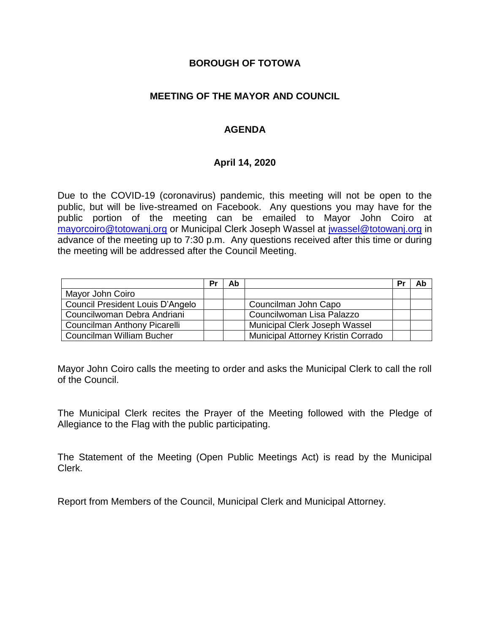### **BOROUGH OF TOTOWA**

## **MEETING OF THE MAYOR AND COUNCIL**

## **AGENDA**

### **April 14, 2020**

Due to the COVID-19 (coronavirus) pandemic, this meeting will not be open to the public, but will be live-streamed on Facebook. Any questions you may have for the public portion of the meeting can be emailed to Mayor John Coiro at [mayorcoiro@totowanj.org](mailto:mayorcoiro@totowanj.org) or Municipal Clerk Joseph Wassel at [jwassel@totowanj.org](mailto:jwassel@totowanj.org) in advance of the meeting up to 7:30 p.m. Any questions received after this time or during the meeting will be addressed after the Council Meeting.

|                                     | Pr | Ab |                                           | Pr | Ab |
|-------------------------------------|----|----|-------------------------------------------|----|----|
| Mayor John Coiro                    |    |    |                                           |    |    |
| Council President Louis D'Angelo    |    |    | Councilman John Capo                      |    |    |
| Councilwoman Debra Andriani         |    |    | Councilwoman Lisa Palazzo                 |    |    |
| <b>Councilman Anthony Picarelli</b> |    |    | Municipal Clerk Joseph Wassel             |    |    |
| Councilman William Bucher           |    |    | <b>Municipal Attorney Kristin Corrado</b> |    |    |

Mayor John Coiro calls the meeting to order and asks the Municipal Clerk to call the roll of the Council.

The Municipal Clerk recites the Prayer of the Meeting followed with the Pledge of Allegiance to the Flag with the public participating.

The Statement of the Meeting (Open Public Meetings Act) is read by the Municipal Clerk.

Report from Members of the Council, Municipal Clerk and Municipal Attorney.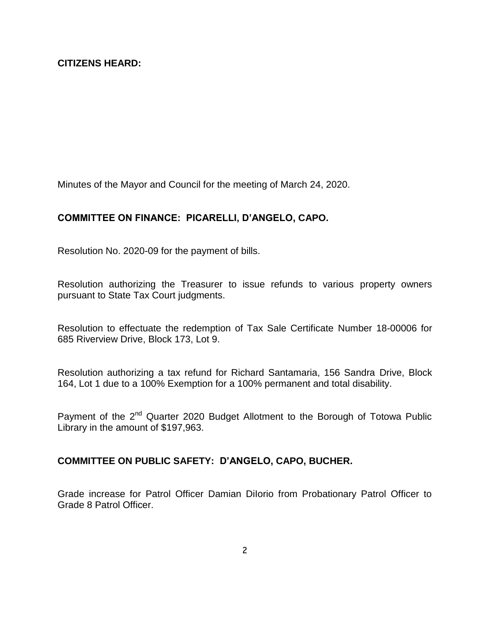Minutes of the Mayor and Council for the meeting of March 24, 2020.

### **COMMITTEE ON FINANCE: PICARELLI, D'ANGELO, CAPO.**

Resolution No. 2020-09 for the payment of bills.

Resolution authorizing the Treasurer to issue refunds to various property owners pursuant to State Tax Court judgments.

Resolution to effectuate the redemption of Tax Sale Certificate Number 18-00006 for 685 Riverview Drive, Block 173, Lot 9.

Resolution authorizing a tax refund for Richard Santamaria, 156 Sandra Drive, Block 164, Lot 1 due to a 100% Exemption for a 100% permanent and total disability.

Payment of the 2<sup>nd</sup> Quarter 2020 Budget Allotment to the Borough of Totowa Public Library in the amount of \$197,963.

### **COMMITTEE ON PUBLIC SAFETY: D'ANGELO, CAPO, BUCHER.**

Grade increase for Patrol Officer Damian DiIorio from Probationary Patrol Officer to Grade 8 Patrol Officer.